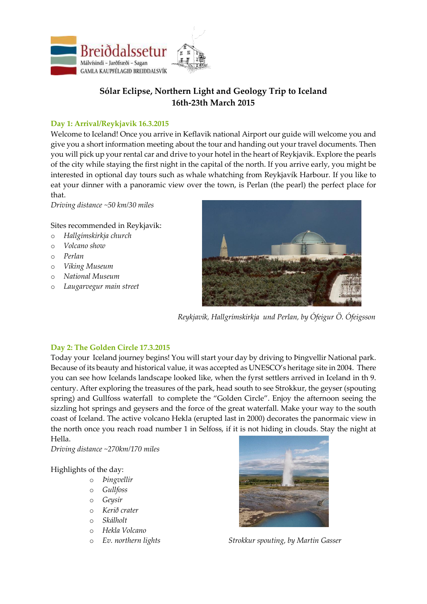

# **Sólar Eclipse, Northern Light and Geology Trip to Iceland 16th-23th March 2015**

### **Day 1: Arrival/Reykjavik 16.3.2015**

Welcome to Iceland! Once you arrive in Keflavik national Airport our guide will welcome you and give you a short information meeting about the tour and handing out your travel documents. Then you will pick up your rental car and drive to your hotel in the heart of Reykjavik. Explore the pearls of the city while staying the first night in the capital of the north. If you arrive early, you might be interested in optional day tours such as whale whatching from Reykjavík Harbour. If you like to eat your dinner with a panoramic view over the town, is Perlan (the pearl) the perfect place for that.

*Driving distance ~50 km/30 miles*

Sites recommended in Reykjavik:

- o *Hallgímskirkja church*
- o *Volcano show*
- o *Perlan*
- o *Viking Museum*
- o *National Museum*
- o *Laugarvegur main street*



*Reykjavík, Hallgrímskirkja und Perlan, by Ófeigur Ö. Ófeigsson*

## **Day 2: The Golden Circle 17.3.2015**

Today your Iceland journey begins! You will start your day by driving to Þingvellir National park. Because of its beauty and historical value, it was accepted as UNESCO's heritage site in 2004. There you can see how Icelands landscape looked like, when the fyrst settlers arrived in Iceland in th 9. century. After exploring the treasures of the park, head south to see Strokkur, the geyser (spouting spring) and Gullfoss waterfall to complete the "Golden Circle". Enjoy the afternoon seeing the sizzling hot springs and geysers and the force of the great waterfall. Make your way to the south coast of Iceland. The active volcano Hekla (erupted last in 2000) decorates the panormaic view in the north once you reach road number 1 in Selfoss, if it is not hiding in clouds. Stay the night at Hella.

*Driving distance ~270km/170 miles*

### Highlights of the day:

- o *Þingvellir*
- o *Gullfoss*
- o *Geysir*
- o *Kerið crater*
- o *Skálholt*
- o *Hekla Volcano*
- 



o *Ev. northern lights Strokkur spouting, by Martin Gasser*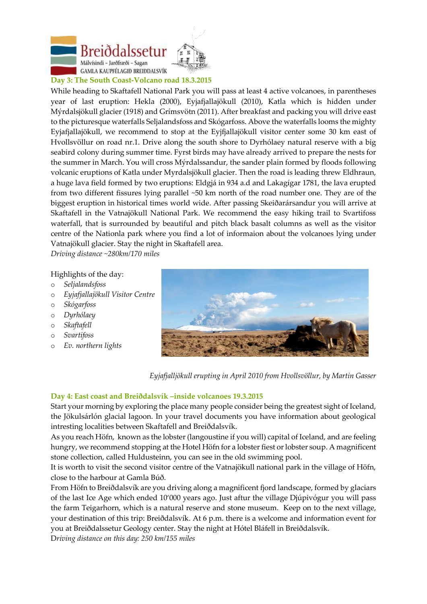



#### **Day 3: The South Coast-Volcano road 18.3.2015**

While heading to Skaftafell National Park you will pass at least 4 active volcanoes, in parentheses year of last eruption: Hekla (2000), Eyjafjallajökull (2010), Katla which is hidden under Mýrdalsjökull glacier (1918) and Grímsvötn (2011). After breakfast and packing you will drive east to the picturesque waterfalls Seljalandsfoss and Skógarfoss. Above the waterfalls looms the mighty Eyjafjallajökull, we recommend to stop at the Eyjfjallajökull visitor center some 30 km east of Hvollsvöllur on road nr.1. Drive along the south shore to Dyrhólaey natural reserve with a big seabird colony during summer time. Fyrst birds may have already arrived to prepare the nests for the summer in March. You will cross Mýrdalssandur, the sander plain formed by floods following volcanic eruptions of Katla under Myrdalsjökull glacier. Then the road is leading threw Eldhraun, a huge lava field formed by two eruptions: Eldgjá in 934 a.d and Lakagígar 1781, the lava erupted from two different fissures lying parallel ~50 km north of the road number one. They are of the biggest eruption in historical times world wide. After passing Skeiðarársandur you will arrive at Skaftafell in the Vatnajökull National Park. We recommend the easy hiking trail to Svartifoss waterfall, that is surrounded by beautiful and pitch black basalt columns as well as the visitor centre of the Nationla park where you find a lot of informaion about the volcanoes lying under Vatnajökull glacier. Stay the night in Skaftafell area.

*Driving distance ~280km/170 miles*

#### Highlights of the day:

- o *Seljalandsfoss*
- o *Eyjafjallajökull Visitor Centre*
- o *Skógarfoss*
- o *Dyrhólaey*
- o *Skaftafell*
- o *Svartifoss*
- o *Ev. northern lights*



 *Eyjafjalljökull erupting in April 2010 from Hvollsvöllur, by Martin Gasser*

#### **Day 4: East coast and Breiðdalsvík –inside volcanoes 19.3.2015**

Start your morning by exploring the place many people consider being the greatest sight of Iceland, the Jökulsárlón glacial lagoon. In your travel documents you have information about geological intresting localities between Skaftafell and Breiðdalsvík.

As you reach Höfn, known as the lobster (langoustine if you will) capital of Iceland, and are feeling hungry, we recommend stopping at the Hotel Höfn for a lobster fiest or lobster soup. A magnificent stone collection, called Huldusteinn, you can see in the old swimming pool.

It is worth to visit the second visitor centre of the Vatnajökull national park in the village of Höfn, close to the harbour at Gamla Búð.

From Höfn to Breiðdalsvík are you driving along a magnificent fjord landscape, formed by glaciars of the last Ice Age which ended 10'000 years ago. Just aftur the village Djúpivógur you will pass the farm Teigarhorn, which is a natural reserve and stone museum. Keep on to the next village, your destination of this trip: Breiðdalsvík. At 6 p.m. there is a welcome and information event for you at Breiðdalssetur Geology center. Stay the night at Hótel Bláfell in Breiðdalsvík. D*riving distance on this day: 250 km/155 miles*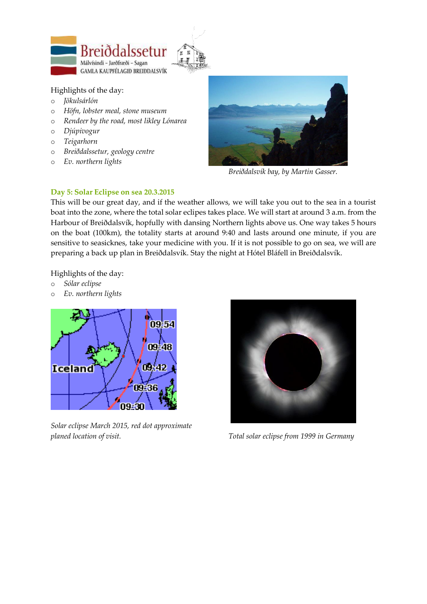



### Highlights of the day:

- o *Jökulsárlón*
- o *Höfn, lobster meal, stone museum*
- o *Rendeer by the road, most likley Lónarea*
- o *Djúpivogur*
- o *Teigarhorn*
- o *Breiðdalssetur, geology centre*
- o *Ev. northern lights*



*Breiðdalsvík bay, by Martin Gasser.*

### **Day 5: Solar Eclipse on sea 20.3.2015**

This will be our great day, and if the weather allows, we will take you out to the sea in a tourist boat into the zone, where the total solar eclipes takes place. We will start at around 3 a.m. from the Harbour of Breiðdalsvík, hopfully with dansing Northern lights above us. One way takes 5 hours on the boat (100km), the totality starts at around 9:40 and lasts around one minute, if you are sensitive to seasicknes, take your medicine with you. If it is not possible to go on sea, we will are preparing a back up plan in Breiðdalsvík. Stay the night at Hótel Bláfell in Breiðdalsvík.

Highlights of the day:

- o *Sólar eclipse*
- o *Ev. northern lights*



*Solar eclipse March 2015, red dot approximate planed location of visit. Total solar eclipse from 1999 in Germany*